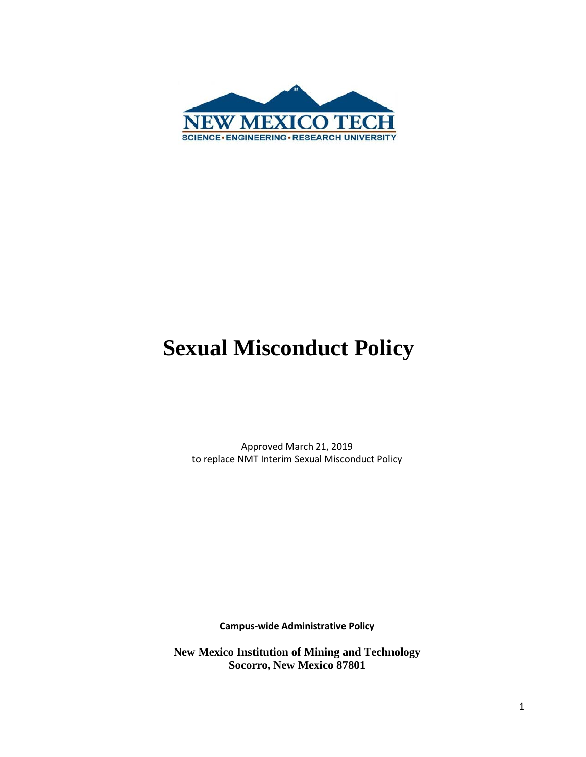

# **Sexual Misconduct Policy**

Approved March 21, 2019 to replace NMT Interim Sexual Misconduct Policy

**Campus-wide Administrative Policy**

**New Mexico Institution of Mining and Technology Socorro, New Mexico 87801**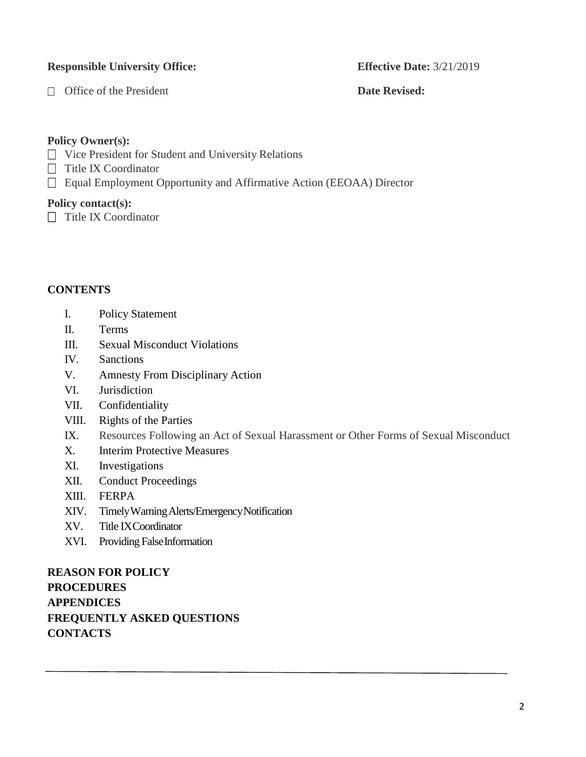#### **Responsible University Office: Effective Date:** 3/21/2019

□ Office of the President **Date Revised:** 

#### **Policy Owner(s):**

- □ Vice President for Student and University Relations
- $\Box$  Title IX Coordinator
- □ Equal Employment Opportunity and Affirmative Action (EEOAA) Director

#### **Policy contact(s):**

 $\Box$  Title IX Coordinator

#### **CONTENTS**

- I. Policy Statement
- II. Terms
- III. Sexual Misconduct Violations
- IV. Sanctions
- V. Amnesty From Disciplinary Action
- VI. Jurisdiction
- VII. Confidentiality
- VIII. Rights of the Parties
- IX. Resources Following an Act of Sexual Harassment or Other Forms of Sexual Misconduct
- X. Interim Protective Measures
- XI. Investigations
- XII. Conduct Proceedings
- XIII. FERPA
- XIV. TimelyWarningAlerts/EmergencyNotification
- XV. Title IXCoordinator
- XVI. Providing False Information

**REASON FOR POLICY PROCEDURES APPENDICES FREQUENTLY ASKED QUESTIONS CONTACTS**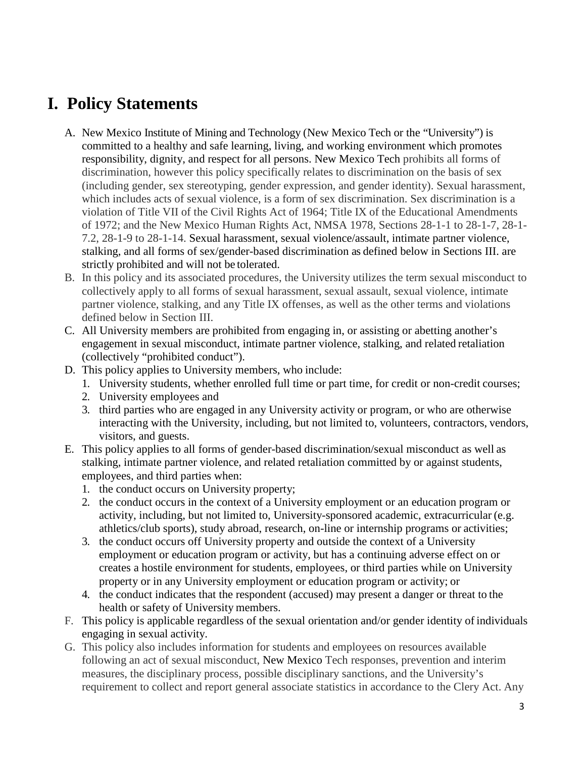### **I. Policy Statements**

- A. New Mexico Institute of Mining and Technology (New Mexico Tech or the "University") is committed to a healthy and safe learning, living, and working environment which promotes responsibility, dignity, and respect for all persons. New Mexico Tech prohibits all forms of discrimination, however this policy specifically relates to discrimination on the basis of sex (including gender, sex stereotyping, gender expression, and gender identity). Sexual harassment, which includes acts of sexual violence, is a form of sex discrimination. Sex discrimination is a violation of Title VII of the Civil Rights Act of 1964; Title IX of the Educational Amendments of 1972; and the New Mexico Human Rights Act, NMSA 1978, Sections 28-1-1 to 28-1-7, 28-1- 7.2, 28-1-9 to 28-1-14. Sexual harassment, sexual violence/assault, intimate partner violence, stalking, and all forms of sex/gender-based discrimination as defined below in Sections III. are strictly prohibited and will not be tolerated.
- B. In this policy and its associated procedures, the University utilizes the term sexual misconduct to collectively apply to all forms of sexual harassment, sexual assault, sexual violence, intimate partner violence, stalking, and any Title IX offenses, as well as the other terms and violations defined below in Section III.
- C. All University members are prohibited from engaging in, or assisting or abetting another's engagement in sexual misconduct, intimate partner violence, stalking, and related retaliation (collectively "prohibited conduct").
- D. This policy applies to University members, who include:
	- 1. University students, whether enrolled full time or part time, for credit or non-credit courses;
	- 2. University employees and
	- 3. third parties who are engaged in any University activity or program, or who are otherwise interacting with the University, including, but not limited to, volunteers, contractors, vendors, visitors, and guests.
- E. This policy applies to all forms of gender-based discrimination/sexual misconduct as well as stalking, intimate partner violence, and related retaliation committed by or against students, employees, and third parties when:
	- 1. the conduct occurs on University property;
	- 2. the conduct occurs in the context of a University employment or an education program or activity, including, but not limited to, University-sponsored academic, extracurricular (e.g. athletics/club sports), study abroad, research, on-line or internship programs or activities;
	- 3. the conduct occurs off University property and outside the context of a University employment or education program or activity, but has a continuing adverse effect on or creates a hostile environment for students, employees, or third parties while on University property or in any University employment or education program or activity; or
	- 4. the conduct indicates that the respondent (accused) may present a danger or threat to the health or safety of University members.
- F. This policy is applicable regardless of the sexual orientation and/or gender identity of individuals engaging in sexual activity.
- G. This policy also includes information for students and employees on resources available following an act of sexual misconduct, New Mexico Tech responses, prevention and interim measures, the disciplinary process, possible disciplinary sanctions, and the University's requirement to collect and report general associate statistics in accordance to the Clery Act. Any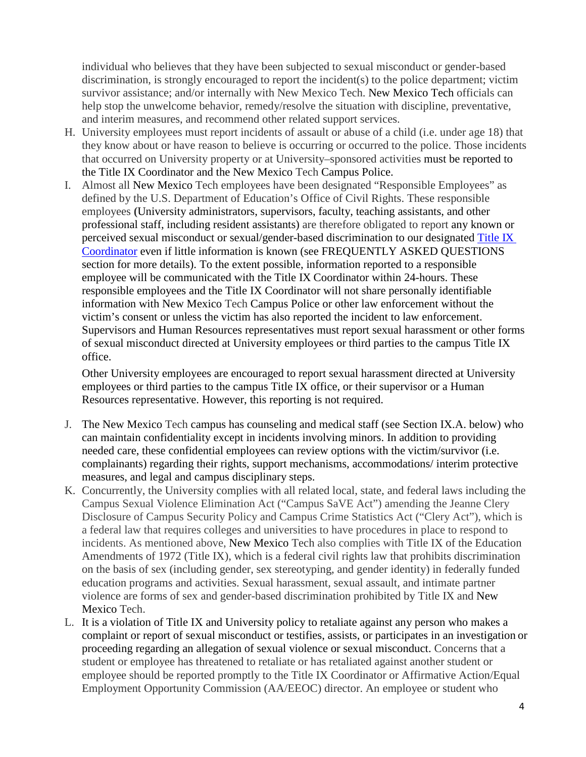individual who believes that they have been subjected to sexual misconduct or gender-based discrimination, is strongly encouraged to report the incident(s) to the police department; victim survivor assistance; and/or internally with New Mexico Tech. New Mexico Tech officials can help stop the unwelcome behavior, remedy/resolve the situation with discipline, preventative, and interim measures, and recommend other related support services.

- H. University employees must report incidents of assault or abuse of a child (i.e. under age 18) that they know about or have reason to believe is occurring or occurred to the police. Those incidents that occurred on University property or at University–sponsored activities must be reported to the Title IX Coordinator and the New Mexico Tech Campus Police.
- I. Almost all New Mexico Tech employees have been designated "Responsible Employees" as defined by the U.S. Department of Education's Office of Civil Rights. These responsible employees **(**University administrators, supervisors, faculty, teaching assistants, and other professional staff, including resident assistants) are therefore obligated to report any known or perceived sexual misconduct or sexual/gender-based discrimination to our designated [Title IX](http://www.nmt.edu/titleix/index.php) [Coordinator](http://www.nmt.edu/titleix/index.php) even if little information is known (see FREQUENTLY ASKED QUESTIONS section for more details). To the extent possible, information reported to a responsible employee will be communicated with the Title IX Coordinator within 24-hours. These responsible employees and the Title IX Coordinator will not share personally identifiable information with New Mexico Tech Campus Police or other law enforcement without the victim's consent or unless the victim has also reported the incident to law enforcement. Supervisors and Human Resources representatives must report sexual harassment or other forms of sexual misconduct directed at University employees or third parties to the campus Title IX office.

Other University employees are encouraged to report sexual harassment directed at University employees or third parties to the campus Title IX office, or their supervisor or a Human Resources representative. However, this reporting is not required.

- J. The New Mexico Tech campus has counseling and medical staff (see Section IX.A. below) who can maintain confidentiality except in incidents involving minors. In addition to providing needed care, these confidential employees can review options with the victim/survivor (i.e. complainants) regarding their rights, support mechanisms, accommodations/ interim protective measures, and legal and campus disciplinary steps.
- K. Concurrently, the University complies with all related local, state, and federal laws including the Campus Sexual Violence Elimination Act ("Campus SaVE Act") amending the Jeanne Clery Disclosure of Campus Security Policy and Campus Crime Statistics Act ("Clery Act"), which is a federal law that requires colleges and universities to have procedures in place to respond to incidents. As mentioned above, New Mexico Tech also complies with Title IX of the Education Amendments of 1972 (Title IX), which is a federal civil rights law that prohibits discrimination on the basis of sex (including gender, sex stereotyping, and gender identity) in federally funded education programs and activities. Sexual harassment, sexual assault, and intimate partner violence are forms of sex and gender-based discrimination prohibited by Title IX and New Mexico Tech.
- L. It is a violation of Title IX and University policy to retaliate against any person who makes a complaint or report of sexual misconduct or testifies, assists, or participates in an investigation or proceeding regarding an allegation of sexual violence or sexual misconduct. Concerns that a student or employee has threatened to retaliate or has retaliated against another student or employee should be reported promptly to the Title IX Coordinator or Affirmative Action/Equal Employment Opportunity Commission (AA/EEOC) director. An employee or student who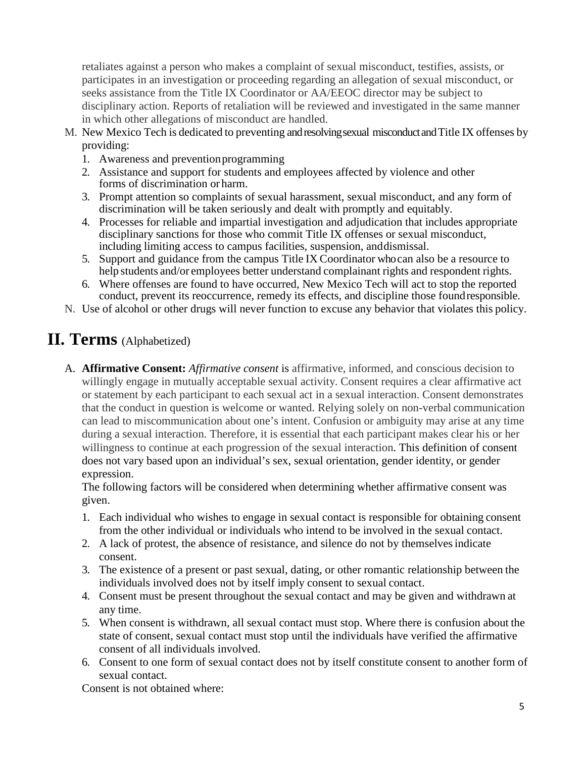retaliates against a person who makes a complaint of sexual misconduct, testifies, assists, or participates in an investigation or proceeding regarding an allegation of sexual misconduct, or seeks assistance from the Title IX Coordinator or AA/EEOC director may be subject to disciplinary action. Reports of retaliation will be reviewed and investigated in the same manner in which other allegations of misconduct are handled.

- M. New Mexico Tech is dedicated to preventing andresolvingsexual misconductandTitle IX offenses by providing:
	- 1. Awareness and preventionprogramming
	- 2. Assistance and support for students and employees affected by violence and other forms of discrimination or harm.
	- 3. Prompt attention so complaints of sexual harassment, sexual misconduct, and any form of discrimination will be taken seriously and dealt with promptly and equitably.
	- 4. Processes for reliable and impartial investigation and adjudication that includes appropriate disciplinary sanctions for those who commit Title IX offenses or sexual misconduct, including limiting access to campus facilities, suspension, anddismissal.
	- 5. Support and guidance from the campus Title IX Coordinator whocan also be a resource to help students and/or employees better understand complainant rights and respondent rights.
	- 6. Where offenses are found to have occurred, New Mexico Tech will act to stop the reported conduct, prevent its reoccurrence, remedy its effects, and discipline those foundresponsible.
- N. Use of alcohol or other drugs will never function to excuse any behavior that violates this policy.

#### **II. Terms** (Alphabetized)

A. **Affirmative Consent:** *Affirmative consent* is affirmative, informed, and conscious decision to willingly engage in mutually acceptable sexual activity. Consent requires a clear affirmative act or statement by each participant to each sexual act in a sexual interaction. Consent demonstrates that the conduct in question is welcome or wanted. Relying solely on non-verbal communication can lead to miscommunication about one's intent. Confusion or ambiguity may arise at any time during a sexual interaction. Therefore, it is essential that each participant makes clear his or her willingness to continue at each progression of the sexual interaction. This definition of consent does not vary based upon an individual's sex, sexual orientation, gender identity, or gender expression.

The following factors will be considered when determining whether affirmative consent was given.

- 1. Each individual who wishes to engage in sexual contact is responsible for obtaining consent from the other individual or individuals who intend to be involved in the sexual contact.
- 2. A lack of protest, the absence of resistance, and silence do not by themselvesindicate consent.
- 3. The existence of a present or past sexual, dating, or other romantic relationship between the individuals involved does not by itself imply consent to sexual contact.
- 4. Consent must be present throughout the sexual contact and may be given and withdrawn at any time.
- 5. When consent is withdrawn, all sexual contact must stop. Where there is confusion about the state of consent, sexual contact must stop until the individuals have verified the affirmative consent of all individuals involved.
- 6. Consent to one form of sexual contact does not by itself constitute consent to another form of sexual contact.

Consent is not obtained where: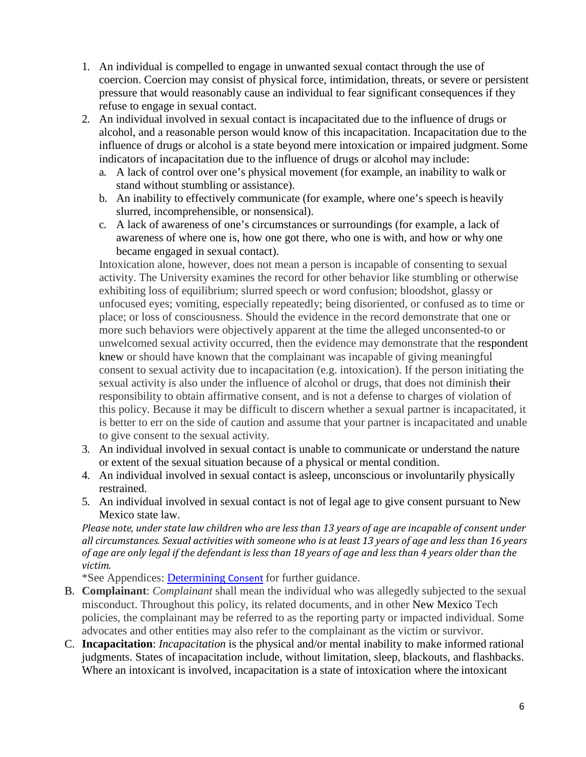- 1. An individual is compelled to engage in unwanted sexual contact through the use of coercion. Coercion may consist of physical force, intimidation, threats, or severe or persistent pressure that would reasonably cause an individual to fear significant consequences if they refuse to engage in sexual contact.
- 2. An individual involved in sexual contact is incapacitated due to the influence of drugs or alcohol, and a reasonable person would know of this incapacitation. Incapacitation due to the influence of drugs or alcohol is a state beyond mere intoxication or impaired judgment. Some indicators of incapacitation due to the influence of drugs or alcohol may include:
	- a. A lack of control over one's physical movement (for example, an inability to walk or stand without stumbling or assistance).
	- b. An inability to effectively communicate (for example, where one's speech is heavily slurred, incomprehensible, or nonsensical).
	- c. A lack of awareness of one's circumstances or surroundings (for example, a lack of awareness of where one is, how one got there, who one is with, and how or why one became engaged in sexual contact).

Intoxication alone, however, does not mean a person is incapable of consenting to sexual activity. The University examines the record for other behavior like stumbling or otherwise exhibiting loss of equilibrium; slurred speech or word confusion; bloodshot, glassy or unfocused eyes; vomiting, especially repeatedly; being disoriented, or confused as to time or place; or loss of consciousness. Should the evidence in the record demonstrate that one or more such behaviors were objectively apparent at the time the alleged unconsented-to or unwelcomed sexual activity occurred, then the evidence may demonstrate that the respondent knew or should have known that the complainant was incapable of giving meaningful consent to sexual activity due to incapacitation (e.g. intoxication). If the person initiating the sexual activity is also under the influence of alcohol or drugs, that does not diminish their responsibility to obtain affirmative consent, and is not a defense to charges of violation of this policy. Because it may be difficult to discern whether a sexual partner is incapacitated, it is better to err on the side of caution and assume that your partner is incapacitated and unable to give consent to the sexual activity.

- 3. An individual involved in sexual contact is unable to communicate or understand the nature or extent of the sexual situation because of a physical or mental condition.
- 4. An individual involved in sexual contact is asleep, unconscious or involuntarily physically restrained.
- 5. An individual involved in sexual contact is not of legal age to give consent pursuant to New Mexico state law.

*Please note, under state law children who are less than 13 years of age are incapable of consent under all circumstances. Sexual activities with someone who is at least 13 years of age and less than 16 years of age are only legal if the defendant is less than 18 years of age and less than 4 years older than the victim.*

\*See Appendices: [Determining](http://www.nmt.edu/titleix/Determining%20Consent.docx) Consent for further guidance.

- B. **Complainant**: *Complainant* shall mean the individual who was allegedly subjected to the sexual misconduct. Throughout this policy, its related documents, and in other New Mexico Tech policies, the complainant may be referred to as the reporting party or impacted individual. Some advocates and other entities may also refer to the complainant as the victim or survivor.
- C. **Incapacitation**: *Incapacitation* is the physical and/or mental inability to make informed rational judgments. States of incapacitation include, without limitation, sleep, blackouts, and flashbacks. Where an intoxicant is involved, incapacitation is a state of intoxication where the intoxicant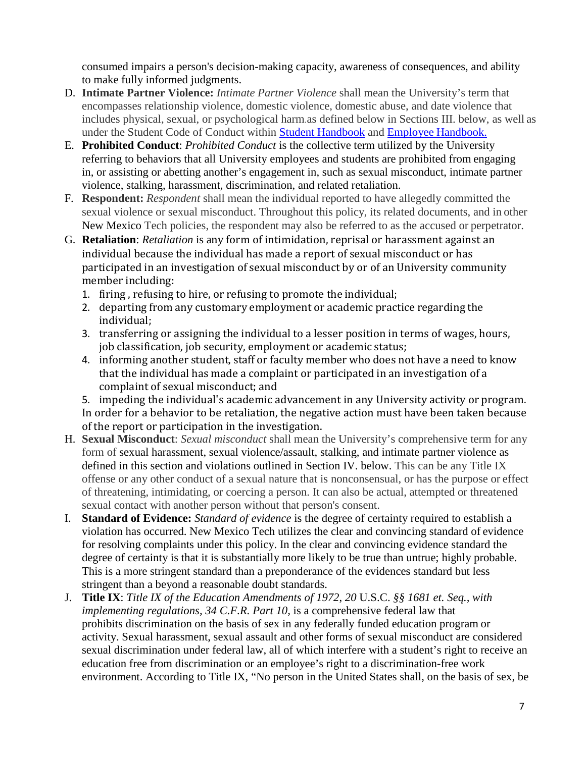consumed impairs a person's decision-making capacity, awareness of consequences, and ability to make fully informed judgments.

- D. **Intimate Partner Violence:** *Intimate Partner Violence* shall mean the University's term that encompasses relationship violence, domestic violence, domestic abuse, and date violence that includes physical, sexual, or psychological harm.as defined below in Sections III. below, as well as under the Student Code of Conduct within [Student Handbook](https://www.nmt.edu/sur/dos/NMT%20Student%20Handbook%202019-20.pdf) and Employee [Handbook.](http://www.nmt.edu/hr/Employee%20Handbook%20April%202018.pdf)
- E. **Prohibited Conduct**: *Prohibited Conduct* is the collective term utilized by the University referring to behaviors that all University employees and students are prohibited from engaging in, or assisting or abetting another's engagement in, such as sexual misconduct, intimate partner violence, stalking, harassment, discrimination, and related retaliation.
- F. **Respondent:** *Respondent* shall mean the individual reported to have allegedly committed the sexual violence or sexual misconduct. Throughout this policy, its related documents, and in other New Mexico Tech policies, the respondent may also be referred to as the accused or perpetrator.
- G. **Retaliation**: *Retaliation* is any form of intimidation, reprisal or harassment against an individual because the individual has made a report of sexual misconduct or has participated in an investigation of sexual misconduct by or of an University community member including:
	- 1. firing , refusing to hire, or refusing to promote the individual;
	- 2. departing from any customary employment or academic practice regarding the individual;
	- 3. transferring or assigning the individual to a lesser position in terms of wages, hours, job classification, job security, employment or academic status;
	- 4. informing another student, staff or faculty member who does not have a need to know that the individual has made a complaint or participated in an investigation of a complaint of sexual misconduct; and

5. impeding the individual's academic advancement in any University activity or program. In order for a behavior to be retaliation, the negative action must have been taken because of the report or participation in the investigation.

- H. **Sexual Misconduct**: *Sexual misconduct* shall mean the University's comprehensive term for any form of sexual harassment, sexual violence/assault, stalking, and intimate partner violence as defined in this section and violations outlined in Section IV. below. This can be any Title IX offense or any other conduct of a sexual nature that is nonconsensual, or has the purpose or effect of threatening, intimidating, or coercing a person. It can also be actual, attempted or threatened sexual contact with another person without that person's consent.
- I. **Standard of Evidence:** *Standard of evidence* is the degree of certainty required to establish a violation has occurred. New Mexico Tech utilizes the clear and convincing standard of evidence for resolving complaints under this policy. In the clear and convincing evidence standard the degree of certainty is that it is substantially more likely to be true than untrue; highly probable. This is a more stringent standard than a preponderance of the evidences standard but less stringent than a beyond a reasonable doubt standards.
- J. **Title IX**: *Title IX of the Education Amendments of 1972*, *20* U.S.C. *§§ 1681 et. Seq., with implementing regulations, 34 C.F.R. Part 10, is a comprehensive federal law that* prohibits discrimination on the basis of sex in any federally funded education program or activity. Sexual harassment, sexual assault and other forms of sexual misconduct are considered sexual discrimination under federal law, all of which interfere with a student's right to receive an education free from discrimination or an employee's right to a discrimination-free work environment. According to Title IX, "No person in the United States shall, on the basis of sex, be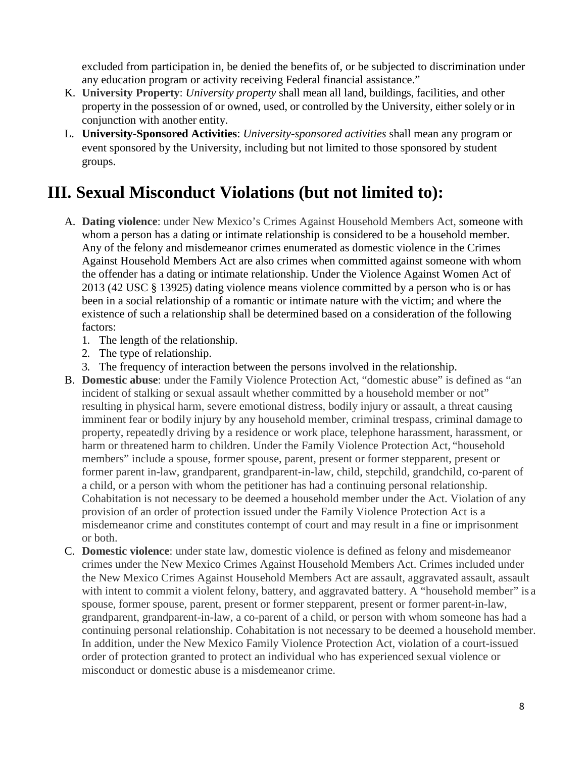excluded from participation in, be denied the benefits of, or be subjected to discrimination under any education program or activity receiving Federal financial assistance."

- K. **University Property**: *University property* shall mean all land, buildings, facilities, and other property in the possession of or owned, used, or controlled by the University, either solely or in conjunction with another entity.
- L. **University-Sponsored Activities**: *University-sponsored activities* shall mean any program or event sponsored by the University, including but not limited to those sponsored by student groups.

### **III. Sexual Misconduct Violations (but not limited to):**

- A. **Dating violence**: under New Mexico's Crimes Against Household Members Act, someone with whom a person has a dating or intimate relationship is considered to be a household member. Any of the felony and misdemeanor crimes enumerated as domestic violence in the Crimes Against Household Members Act are also crimes when committed against someone with whom the offender has a dating or intimate relationship. Under the Violence Against Women Act of 2013 (42 USC § 13925) dating violence means violence committed by a person who is or has been in a social relationship of a romantic or intimate nature with the victim; and where the existence of such a relationship shall be determined based on a consideration of the following factors:
	- 1. The length of the relationship.
	- 2. The type of relationship.
	- 3. The frequency of interaction between the persons involved in the relationship.
- B. **Domestic abuse**: under the Family Violence Protection Act, "domestic abuse" is defined as "an incident of stalking or sexual assault whether committed by a household member or not" resulting in physical harm, severe emotional distress, bodily injury or assault, a threat causing imminent fear or bodily injury by any household member, criminal trespass, criminal damage to property, repeatedly driving by a residence or work place, telephone harassment, harassment, or harm or threatened harm to children. Under the Family Violence Protection Act, "household members" include a spouse, former spouse, parent, present or former stepparent, present or former parent in-law, grandparent, grandparent-in-law, child, stepchild, grandchild, co-parent of a child, or a person with whom the petitioner has had a continuing personal relationship. Cohabitation is not necessary to be deemed a household member under the Act. Violation of any provision of an order of protection issued under the Family Violence Protection Act is a misdemeanor crime and constitutes contempt of court and may result in a fine or imprisonment or both.
- C. **Domestic violence**: under state law, domestic violence is defined as felony and misdemeanor crimes under the New Mexico Crimes Against Household Members Act. Crimes included under the New Mexico Crimes Against Household Members Act are assault, aggravated assault, assault with intent to commit a violent felony, battery, and aggravated battery. A "household member" is a spouse, former spouse, parent, present or former stepparent, present or former parent-in-law, grandparent, grandparent-in-law, a co-parent of a child, or person with whom someone has had a continuing personal relationship. Cohabitation is not necessary to be deemed a household member. In addition, under the New Mexico Family Violence Protection Act, violation of a court-issued order of protection granted to protect an individual who has experienced sexual violence or misconduct or domestic abuse is a misdemeanor crime.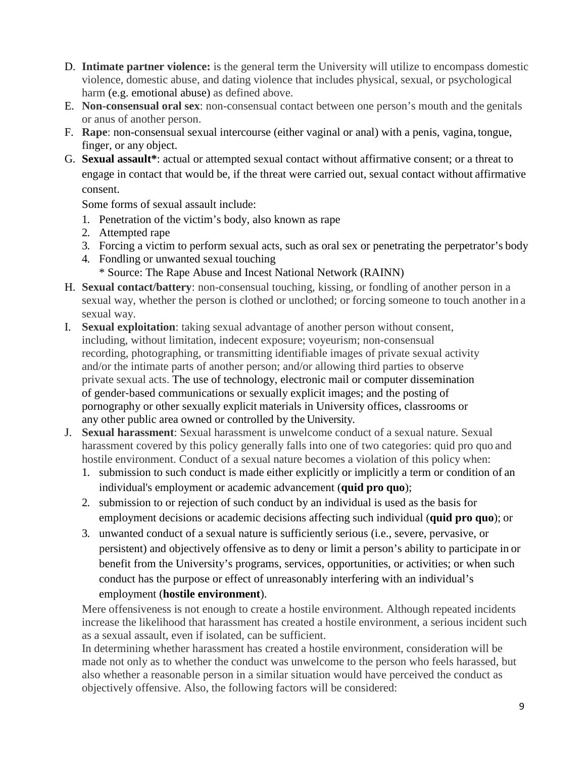- D. **Intimate partner violence:** is the general term the University will utilize to encompass domestic violence, domestic abuse, and dating violence that includes physical, sexual, or psychological harm (e.g. emotional abuse) as defined above.
- E. **Non-consensual oral sex**: non-consensual contact between one person's mouth and the genitals or anus of another person.
- F. **Rape**: non-consensual sexual intercourse (either vaginal or anal) with a penis, vagina, tongue, finger, or any object.
- G. **Sexual assault\***: actual or attempted sexual contact without affirmative consent; or a threat to engage in contact that would be, if the threat were carried out, sexual contact without affirmative consent.

Some forms of sexual assault include:

- 1. Penetration of the victim's body, also known as rape
- 2. Attempted rape
- 3. Forcing a victim to perform sexual acts, such as oral sex or penetrating the perpetrator's body
- 4. Fondling or unwanted sexual touching \* Source: The Rape Abuse and Incest National Network (RAINN)
- H. **Sexual contact/battery**: non-consensual touching, kissing, or fondling of another person in a sexual way, whether the person is clothed or unclothed; or forcing someone to touch another in a sexual way.
- I. **Sexual exploitation**: taking sexual advantage of another person without consent, including, without limitation, indecent exposure; voyeurism; non-consensual recording, photographing, or transmitting identifiable images of private sexual activity and/or the intimate parts of another person; and/or allowing third parties to observe private sexual acts. The use of technology, electronic mail or computer dissemination of gender‐based communications or sexually explicit images; and the posting of pornography or other sexually explicit materials in University offices, classrooms or any other public area owned or controlled by the University.
- J. **Sexual harassment**: Sexual harassment is unwelcome conduct of a sexual nature. Sexual harassment covered by this policy generally falls into one of two categories: quid pro quo and hostile environment. Conduct of a sexual nature becomes a violation of this policy when:
	- 1. submission to such conduct is made either explicitly or implicitly a term or condition of an individual's employment or academic advancement (**quid pro quo**);
	- 2. submission to or rejection of such conduct by an individual is used as the basis for employment decisions or academic decisions affecting such individual (**quid pro quo**); or
	- 3. unwanted conduct of a sexual nature is sufficiently serious (i.e., severe, pervasive, or persistent) and objectively offensive as to deny or limit a person's ability to participate in or benefit from the University's programs, services, opportunities, or activities; or when such conduct has the purpose or effect of unreasonably interfering with an individual's employment (**hostile environment**).

Mere offensiveness is not enough to create a hostile environment. Although repeated incidents increase the likelihood that harassment has created a hostile environment, a serious incident such as a sexual assault, even if isolated, can be sufficient.

In determining whether harassment has created a hostile environment, consideration will be made not only as to whether the conduct was unwelcome to the person who feels harassed, but also whether a reasonable person in a similar situation would have perceived the conduct as objectively offensive. Also, the following factors will be considered: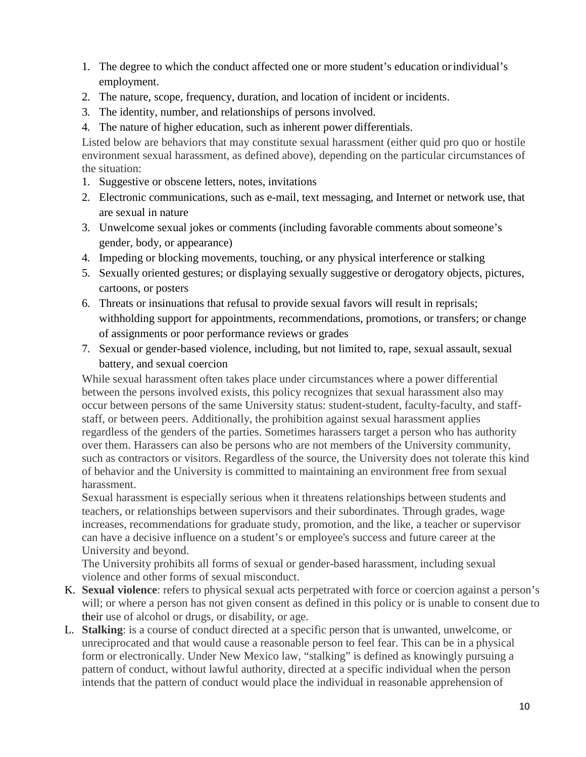- 1. The degree to which the conduct affected one or more student's education orindividual's employment.
- 2. The nature, scope, frequency, duration, and location of incident or incidents.
- 3. The identity, number, and relationships of persons involved.
- 4. The nature of higher education, such as inherent power differentials.

Listed below are behaviors that may constitute sexual harassment (either quid pro quo or hostile environment sexual harassment, as defined above), depending on the particular circumstances of the situation:

- 1. Suggestive or obscene letters, notes, invitations
- 2. Electronic communications, such as e-mail, text messaging, and Internet or network use, that are sexual in nature
- 3. Unwelcome sexual jokes or comments (including favorable comments aboutsomeone's gender, body, or appearance)
- 4. Impeding or blocking movements, touching, or any physical interference or stalking
- 5. Sexually oriented gestures; or displaying sexually suggestive or derogatory objects, pictures, cartoons, or posters
- 6. Threats or insinuations that refusal to provide sexual favors will result in reprisals; withholding support for appointments, recommendations, promotions, or transfers; or change of assignments or poor performance reviews or grades
- 7. Sexual or gender-based violence, including, but not limited to, rape, sexual assault, sexual battery, and sexual coercion

While sexual harassment often takes place under circumstances where a power differential between the persons involved exists, this policy recognizes that sexual harassment also may occur between persons of the same University status: student-student, faculty-faculty, and staffstaff, or between peers. Additionally, the prohibition against sexual harassment applies regardless of the genders of the parties. Sometimes harassers target a person who has authority over them. Harassers can also be persons who are not members of the University community, such as contractors or visitors. Regardless of the source, the University does not tolerate this kind of behavior and the University is committed to maintaining an environment free from sexual harassment.

Sexual harassment is especially serious when it threatens relationships between students and teachers, or relationships between supervisors and their subordinates. Through grades, wage increases, recommendations for graduate study, promotion, and the like, a teacher or supervisor can have a decisive influence on a student's or employee's success and future career at the University and beyond.

The University prohibits all forms of sexual or gender-based harassment, including sexual violence and other forms of sexual misconduct.

- K. **Sexual violence**: refers to physical sexual acts perpetrated with force or coercion against a person's will; or where a person has not given consent as defined in this policy or is unable to consent due to their use of alcohol or drugs, or disability, or age.
- L. **Stalking**: is a course of conduct directed at a specific person that is unwanted, unwelcome, or unreciprocated and that would cause a reasonable person to feel fear. This can be in a physical form or electronically. Under New Mexico law, "stalking" is defined as knowingly pursuing a pattern of conduct, without lawful authority, directed at a specific individual when the person intends that the pattern of conduct would place the individual in reasonable apprehension of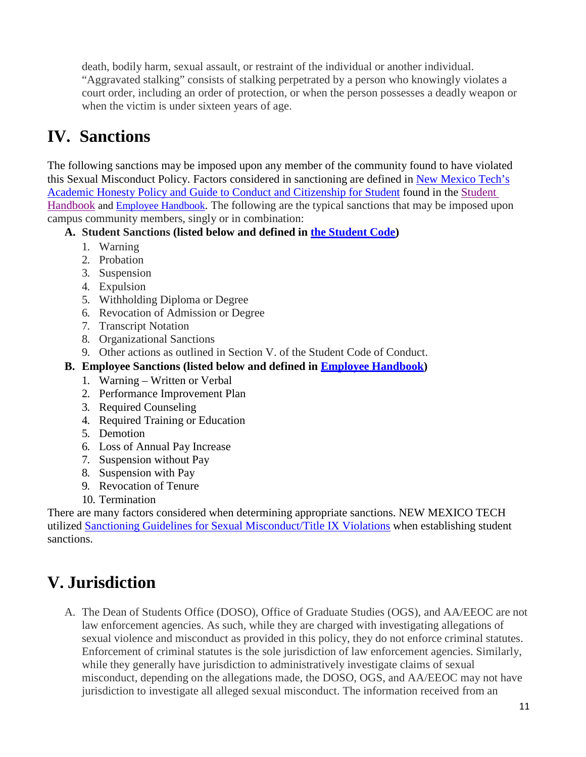death, bodily harm, sexual assault, or restraint of the individual or another individual. "Aggravated stalking" consists of stalking perpetrated by a person who knowingly violates a court order, including an order of protection, or when the person possesses a deadly weapon or when the victim is under sixteen years of age.

#### **IV. Sanctions**

The following sanctions may be imposed upon any member of the community found to have violated this Sexual Misconduct Policy. Factors considered in sanctioning are defined in [New Mexico Tech's](https://www.nmt.edu/titleix/images/NMT%20Student%20Handbook%202018-19%20August.pdf?start=1) [Academic Honesty Policy and Guide to Conduct and Citizenship for Student](https://www.nmt.edu/titleix/images/NMT%20Student%20Handbook%202018-19%20August.pdf?start=1) found in the [Student](https://www.nmt.edu/sur/dos/NMT%20Student%20Handbook%202019-20.pdf)  [Handbook](https://www.nmt.edu/sur/dos/NMT%20Student%20Handbook%202019-20.pdf) and [Employee Handbook.](http://www.nmt.edu/hr/Employee%20Handbook%20April%202018.pdf) The following are the typical sanctions that may be imposed upon campus community members, singly or in combination:

#### **A. Student Sanctions (listed below and defined in [the Student](http://www.nmt.edu/titleix/images/NMT%20Student%20Handbook%202018-19%20August.pdf) Code)**

- 1. Warning
- 2. Probation
- 3. Suspension
- 4. Expulsion
- 5. Withholding Diploma or Degree
- 6. Revocation of Admission or Degree
- 7. Transcript Notation
- 8. Organizational Sanctions
- 9. Other actions as outlined in Section V. of the Student Code of Conduct.
- **B. Employee Sanctions (listed below and defined in Employee [Handbook\)](http://www.nmt.edu/hr/Employee%20Handbook%20April%202018.pdf)**
	- 1. Warning Written or Verbal
	- 2. Performance Improvement Plan
	- 3. Required Counseling
	- 4. Required Training or Education
	- 5. Demotion
	- 6. Loss of Annual Pay Increase
	- 7. Suspension without Pay
	- 8. Suspension with Pay
	- 9. Revocation of Tenure
	- 10. Termination

There are many factors considered when determining appropriate sanctions. NEW MEXICO TECH utilized [Sanctioning Guidelines for Sexual Misconduct/Title IX Violations](https://nmt.edu/titleix/NMT%20Sexual%20Misconduct%20Sanctioning%20Guidelines.pdf) when establishing student sanctions.

### **V. Jurisdiction**

A. The Dean of Students Office (DOSO), Office of Graduate Studies (OGS), and AA/EEOC are not law enforcement agencies. As such, while they are charged with investigating allegations of sexual violence and misconduct as provided in this policy, they do not enforce criminal statutes. Enforcement of criminal statutes is the sole jurisdiction of law enforcement agencies. Similarly, while they generally have jurisdiction to administratively investigate claims of sexual misconduct, depending on the allegations made, the DOSO, OGS, and AA/EEOC may not have jurisdiction to investigate all alleged sexual misconduct. The information received from an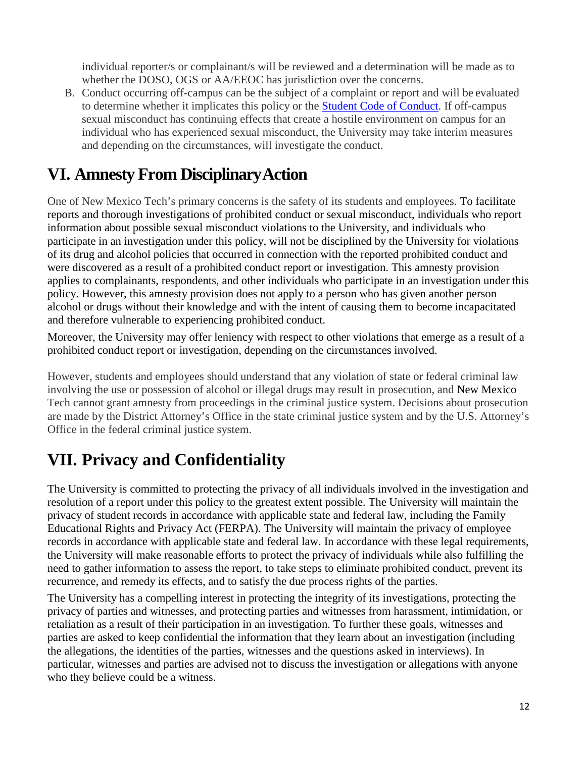individual reporter/s or complainant/s will be reviewed and a determination will be made as to whether the DOSO, OGS or AA/EEOC has jurisdiction over the concerns.

B. Conduct occurring off-campus can be the subject of a complaint or report and will be evaluated to determine whether it implicates this policy or the [Student Code of Conduct.](http://www.nmt.edu/titleix/images/NMT%20Student%20Handbook%202018-19%20August.pdf) If off-campus sexual misconduct has continuing effects that create a hostile environment on campus for an individual who has experienced sexual misconduct, the University may take interim measures and depending on the circumstances, will investigate the conduct.

## **VI. Amnesty From DisciplinaryAction**

One of New Mexico Tech's primary concerns is the safety of its students and employees. To facilitate reports and thorough investigations of prohibited conduct or sexual misconduct, individuals who report information about possible sexual misconduct violations to the University, and individuals who participate in an investigation under this policy, will not be disciplined by the University for violations of its drug and alcohol policies that occurred in connection with the reported prohibited conduct and were discovered as a result of a prohibited conduct report or investigation. This amnesty provision applies to complainants, respondents, and other individuals who participate in an investigation under this policy. However, this amnesty provision does not apply to a person who has given another person alcohol or drugs without their knowledge and with the intent of causing them to become incapacitated and therefore vulnerable to experiencing prohibited conduct.

Moreover, the University may offer leniency with respect to other violations that emerge as a result of a prohibited conduct report or investigation, depending on the circumstances involved.

However, students and employees should understand that any violation of state or federal criminal law involving the use or possession of alcohol or illegal drugs may result in prosecution, and New Mexico Tech cannot grant amnesty from proceedings in the criminal justice system. Decisions about prosecution are made by the District Attorney's Office in the state criminal justice system and by the U.S. Attorney's Office in the federal criminal justice system.

## **VII. Privacy and Confidentiality**

The University is committed to protecting the privacy of all individuals involved in the investigation and resolution of a report under this policy to the greatest extent possible. The University will maintain the privacy of student records in accordance with applicable state and federal law, including the Family Educational Rights and Privacy Act (FERPA). The University will maintain the privacy of employee records in accordance with applicable state and federal law. In accordance with these legal requirements, the University will make reasonable efforts to protect the privacy of individuals while also fulfilling the need to gather information to assess the report, to take steps to eliminate prohibited conduct, prevent its recurrence, and remedy its effects, and to satisfy the due process rights of the parties.

The University has a compelling interest in protecting the integrity of its investigations, protecting the privacy of parties and witnesses, and protecting parties and witnesses from harassment, intimidation, or retaliation as a result of their participation in an investigation. To further these goals, witnesses and parties are asked to keep confidential the information that they learn about an investigation (including the allegations, the identities of the parties, witnesses and the questions asked in interviews). In particular, witnesses and parties are advised not to discuss the investigation or allegations with anyone who they believe could be a witness.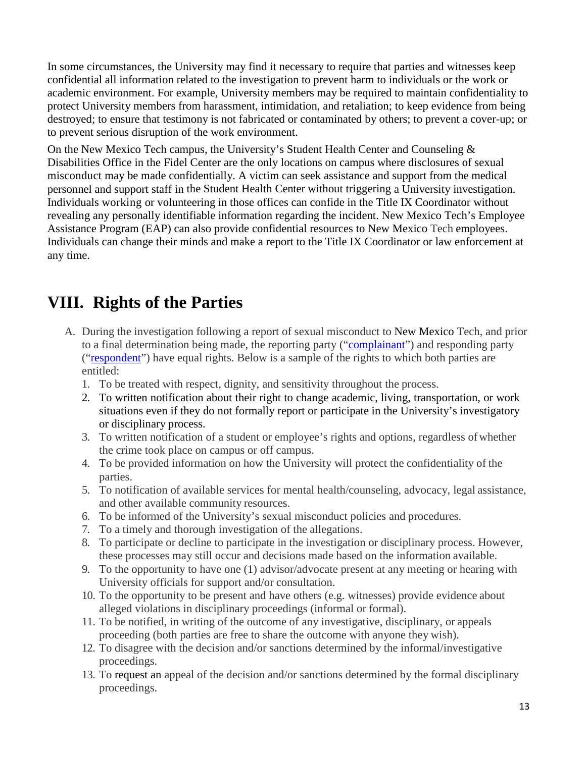In some circumstances, the University may find it necessary to require that parties and witnesses keep confidential all information related to the investigation to prevent harm to individuals or the work or academic environment. For example, University members may be required to maintain confidentiality to protect University members from harassment, intimidation, and retaliation; to keep evidence from being destroyed; to ensure that testimony is not fabricated or contaminated by others; to prevent a cover-up; or to prevent serious disruption of the work environment.

On the New Mexico Tech campus, the University's Student Health Center and Counseling & Disabilities Office in the Fidel Center are the only locations on campus where disclosures of sexual misconduct may be made confidentially. A victim can seek assistance and support from the medical personnel and support staff in the Student Health Center without triggering a University investigation. Individuals working or volunteering in those offices can confide in the Title IX Coordinator without revealing any personally identifiable information regarding the incident. New Mexico Tech's Employee Assistance Program (EAP) can also provide confidential resources to New Mexico Tech employees. Individuals can change their minds and make a report to the Title IX Coordinator or law enforcement at any time.

### **VIII. Rights of the Parties**

- A. During the investigation following a report of sexual misconduct to New Mexico Tech, and prior to a final determination being made, the reporting party (["complainant"](http://www.nmt.edu/titleix/docs/Complainant%20Rights%20-%20Information%20and%20data%20privacy%20notice.docx)) and responding party (["respondent"](http://www.nmt.edu/titleix/docs/Respondent%20Rights-%20Information%20and%20data%20privacy%20notice.docx)) have equal rights. Below is a sample of the rights to which both parties are entitled:
	- 1. To be treated with respect, dignity, and sensitivity throughout the process.
	- 2. To written notification about their right to change academic, living, transportation, or work situations even if they do not formally report or participate in the University's investigatory or disciplinary process.
	- 3. To written notification of a student or employee's rights and options, regardless ofwhether the crime took place on campus or off campus.
	- 4. To be provided information on how the University will protect the confidentiality of the parties.
	- 5. To notification of available services for mental health/counseling, advocacy, legal assistance, and other available community resources.
	- 6. To be informed of the University's sexual misconduct policies and procedures.
	- 7. To a timely and thorough investigation of the allegations.
	- 8. To participate or decline to participate in the investigation or disciplinary process. However, these processes may still occur and decisions made based on the information available.
	- 9. To the opportunity to have one (1) advisor/advocate present at any meeting or hearing with University officials for support and/or consultation.
	- 10. To the opportunity to be present and have others (e.g. witnesses) provide evidence about alleged violations in disciplinary proceedings (informal or formal).
	- 11. To be notified, in writing of the outcome of any investigative, disciplinary, or appeals proceeding (both parties are free to share the outcome with anyone they wish).
	- 12. To disagree with the decision and/or sanctions determined by the informal/investigative proceedings.
	- 13. To request an appeal of the decision and/or sanctions determined by the formal disciplinary proceedings.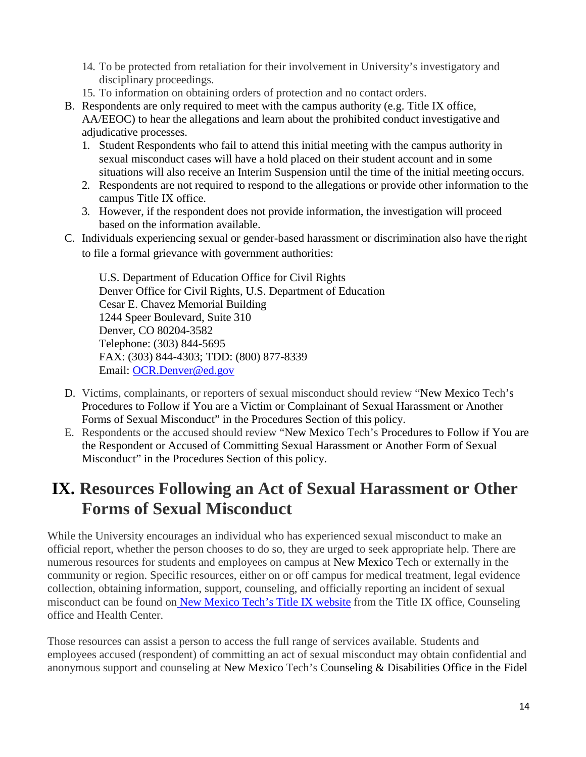- 14. To be protected from retaliation for their involvement in University's investigatory and disciplinary proceedings.
- 15. To information on obtaining orders of protection and no contact orders.
- B. Respondents are only required to meet with the campus authority (e.g. Title IX office, AA/EEOC) to hear the allegations and learn about the prohibited conduct investigative and adjudicative processes.
	- 1. Student Respondents who fail to attend this initial meeting with the campus authority in sexual misconduct cases will have a hold placed on their student account and in some situations will also receive an Interim Suspension until the time of the initial meeting occurs.
	- 2. Respondents are not required to respond to the allegations or provide other information to the campus Title IX office.
	- 3. However, if the respondent does not provide information, the investigation will proceed based on the information available.
- C. Individuals experiencing sexual or gender-based harassment or discrimination also have the right to file a formal grievance with government authorities:

U.S. Department of Education Office for Civil Rights Denver Office for Civil Rights, U.S. Department of Education Cesar E. Chavez Memorial Building 1244 Speer Boulevard, Suite 310 Denver, CO 80204-3582 Telephone: (303) 844-5695 FAX: (303) 844-4303; TDD: (800) 877-8339 Email: [OCR.Denver@ed.gov](mailto:OCR.Denver@ed.gov)

- D. Victims, complainants, or reporters of sexual misconduct should review "New Mexico Tech's Procedures to Follow if You are a Victim or Complainant of Sexual Harassment or Another Forms of Sexual Misconduct" in the Procedures Section of this policy.
- E. Respondents or the accused should review "New Mexico Tech's Procedures to Follow if You are the Respondent or Accused of Committing Sexual Harassment or Another Form of Sexual Misconduct" in the Procedures Section of this policy.

### **IX. Resources Following an Act of Sexual Harassment or Other Forms of Sexual Misconduct**

While the University encourages an individual who has experienced sexual misconduct to make an official report, whether the person chooses to do so, they are urged to seek appropriate help. There are numerous resources for students and employees on campus at New Mexico Tech or externally in the community or region. Specific resources, either on or off campus for medical treatment, legal evidence collection, obtaining information, support, counseling, and officially reporting an incident of sexual misconduct can be found on [New Mexico Tech's Title IX website](https://www.nmt.edu/titleix/index.php) from the Title IX office, Counseling office and Health Center.

Those resources can assist a person to access the full range of services available. Students and employees accused (respondent) of committing an act of sexual misconduct may obtain confidential and anonymous support and counseling at New Mexico Tech's Counseling & Disabilities Office in the Fidel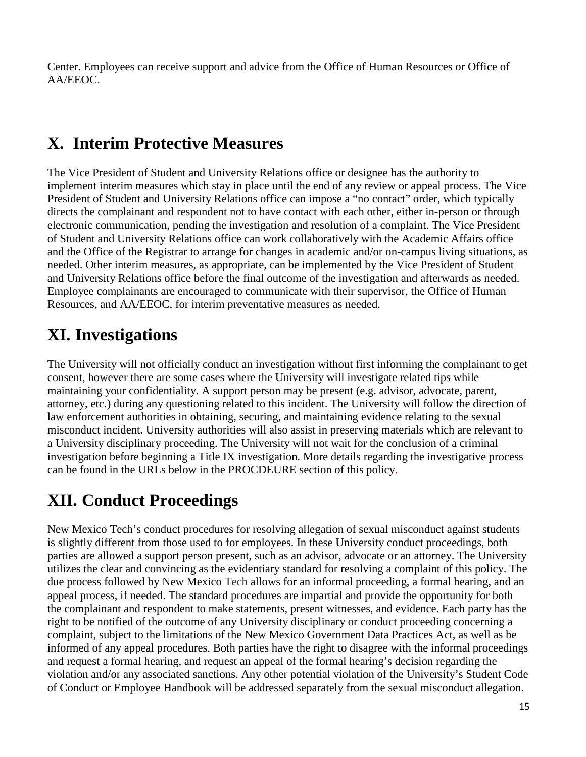Center. Employees can receive support and advice from the Office of Human Resources or Office of AA/EEOC.

### **X. Interim Protective Measures**

The Vice President of Student and University Relations office or designee has the authority to implement interim measures which stay in place until the end of any review or appeal process. The Vice President of Student and University Relations office can impose a "no contact" order, which typically directs the complainant and respondent not to have contact with each other, either in-person or through electronic communication, pending the investigation and resolution of a complaint. The Vice President of Student and University Relations office can work collaboratively with the Academic Affairs office and the Office of the Registrar to arrange for changes in academic and/or on-campus living situations, as needed. Other interim measures, as appropriate, can be implemented by the Vice President of Student and University Relations office before the final outcome of the investigation and afterwards as needed. Employee complainants are encouraged to communicate with their supervisor, the Office of Human Resources, and AA/EEOC, for interim preventative measures as needed.

## **XI. Investigations**

The University will not officially conduct an investigation without first informing the complainant to get consent, however there are some cases where the University will investigate related tips while maintaining your confidentiality. A support person may be present (e.g. advisor, advocate, parent, attorney, etc.) during any questioning related to this incident. The University will follow the direction of law enforcement authorities in obtaining, securing, and maintaining evidence relating to the sexual misconduct incident. University authorities will also assist in preserving materials which are relevant to a University disciplinary proceeding. The University will not wait for the conclusion of a criminal investigation before beginning a Title IX investigation. More details regarding the investigative process can be found in the URLs below in the PROCDEURE section of this policy.

## **XII. Conduct Proceedings**

New Mexico Tech's conduct procedures for resolving allegation of sexual misconduct against students is slightly different from those used to for employees. In these University conduct proceedings, both parties are allowed a support person present, such as an advisor, advocate or an attorney. The University utilizes the clear and convincing as the evidentiary standard for resolving a complaint of this policy. The due process followed by New Mexico Tech allows for an informal proceeding, a formal hearing, and an appeal process, if needed. The standard procedures are impartial and provide the opportunity for both the complainant and respondent to make statements, present witnesses, and evidence. Each party has the right to be notified of the outcome of any University disciplinary or conduct proceeding concerning a complaint, subject to the limitations of the New Mexico Government Data Practices Act, as well as be informed of any appeal procedures. Both parties have the right to disagree with the informal proceedings and request a formal hearing, and request an appeal of the formal hearing's decision regarding the violation and/or any associated sanctions. Any other potential violation of the University's Student Code of Conduct or Employee Handbook will be addressed separately from the sexual misconduct allegation.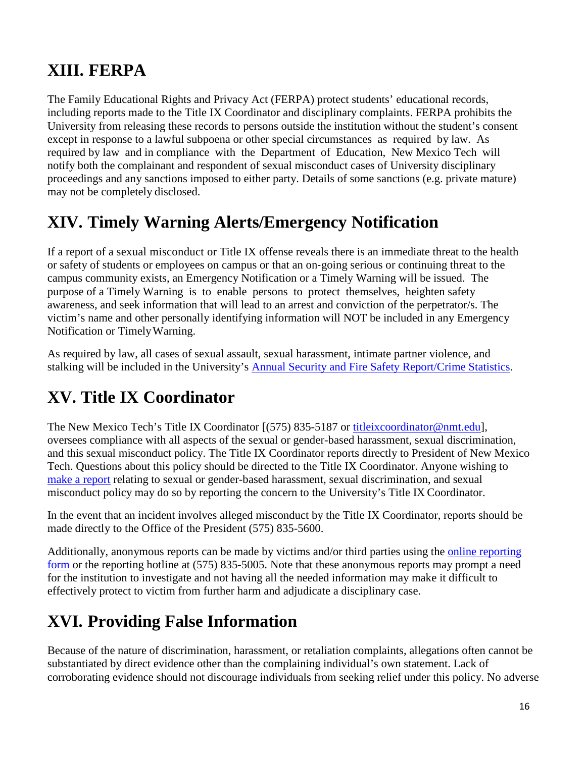### **XIII. FERPA**

The Family Educational Rights and Privacy Act (FERPA) protect students' educational records, including reports made to the Title IX Coordinator and disciplinary complaints. FERPA prohibits the University from releasing these records to persons outside the institution without the student's consent except in response to a lawful subpoena or other special circumstances as required by law. As required by law and in compliance with the Department of Education, New Mexico Tech will notify both the complainant and respondent of sexual misconduct cases of University disciplinary proceedings and any sanctions imposed to either party. Details of some sanctions (e.g. private mature) may not be completely disclosed.

### **XIV. Timely Warning Alerts/Emergency Notification**

If a report of a sexual misconduct or Title IX offense reveals there is an immediate threat to the health or safety of students or employees on campus or that an on‐going serious or continuing threat to the campus community exists, an Emergency Notification or a Timely Warning will be issued. The purpose of a Timely Warning is to enable persons to protect themselves, heighten safety awareness, and seek information that will lead to an arrest and conviction of the perpetrator/s. The victim's name and other personally identifying information will NOT be included in any Emergency Notification or TimelyWarning.

As required by law, all cases of sexual assault, sexual harassment, intimate partner violence, and stalking will be included in the University's [Annual Security and Fire Safety Report/Crime Statistics.](https://www.nmt.edu/police/docs/2018%20Annual%20Safety%20and%20Security%20report.pdf)

## **XV. Title IX Coordinator**

The New Mexico Tech's Title IX Coordinator [(575) 835-5187 or [titleixcoordinator@nmt.edu\]](mailto:titleixcoordinator@nmt.edu), oversees compliance with all aspects of the sexual or gender-based harassment, sexual discrimination, and this sexual misconduct policy. The Title IX Coordinator reports directly to President of New Mexico Tech. Questions about this policy should be directed to the Title IX Coordinator. Anyone wishing to [make a report](https://cm.maxient.com/reportingform.php?NewMexicoTech&layout_id=1) relating to sexual or gender-based harassment, sexual discrimination, and sexual misconduct policy may do so by reporting the concern to the University's Title IX Coordinator.

In the event that an incident involves alleged misconduct by the Title IX Coordinator, reports should be made directly to the Office of the President (575) 835-5600.

Additionally, anonymous reports can be made by victims and/or third parties using the [online reporting](https://cm.maxient.com/reportingform.php?NewMexicoTech&layout_id=1) [form](https://cm.maxient.com/reportingform.php?NewMexicoTech&layout_id=1) or the reporting hotline at (575) 835-5005. Note that these anonymous reports may prompt a need for the institution to investigate and not having all the needed information may make it difficult to effectively protect to victim from further harm and adjudicate a disciplinary case.

### **XVI. Providing False Information**

Because of the nature of discrimination, harassment, or retaliation complaints, allegations often cannot be substantiated by direct evidence other than the complaining individual's own statement. Lack of corroborating evidence should not discourage individuals from seeking relief under this policy. No adverse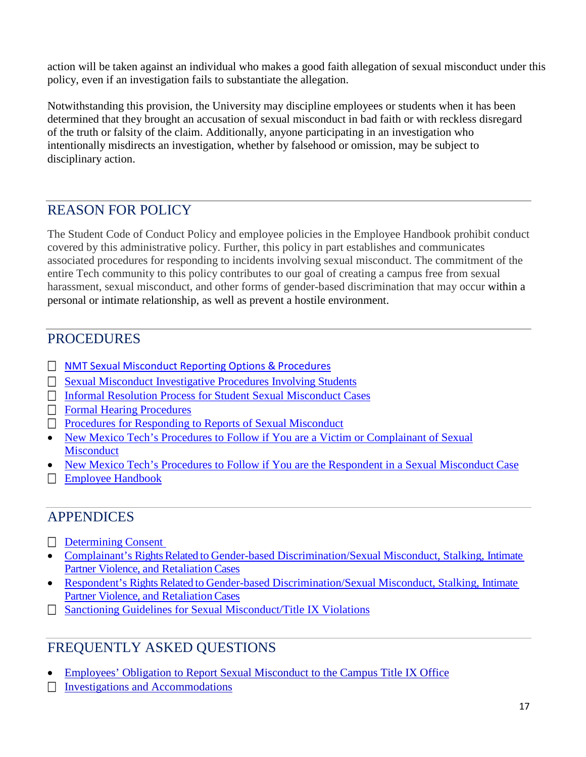action will be taken against an individual who makes a good faith allegation of sexual misconduct under this policy, even if an investigation fails to substantiate the allegation.

Notwithstanding this provision, the University may discipline employees or students when it has been determined that they brought an accusation of sexual misconduct in bad faith or with reckless disregard of the truth or falsity of the claim. Additionally, anyone participating in an investigation who intentionally misdirects an investigation, whether by falsehood or omission, may be subject to disciplinary action.

#### REASON FOR POLICY

The Student Code of Conduct Policy and employee policies in the Employee Handbook prohibit conduct covered by this administrative policy. Further, this policy in part establishes and communicates associated procedures for responding to incidents involving sexual misconduct. The commitment of the entire Tech community to this policy contributes to our goal of creating a campus free from sexual harassment, sexual misconduct, and other forms of gender-based discrimination that may occur within a personal or intimate relationship, as well as prevent a hostile environment.

#### PROCEDURES

- □ [NMT Sexual Misconduct Reporting Options &](http://www.nmt.edu/titleix/Sexual%20Misconduct%20Reporting%20Options%20and%20Procedures.docx) Procedures
- [Sexual Misconduct Investigative Procedures Involving](http://www.nmt.edu/titleix/Sexual%20Misconduct%20Investigative%20Procedures%20Students.docx) Students
- [Informal Resolution Process for Student Sexual Misconduct](http://www.nmt.edu/titleix/Informal%20Resolution%20Process%20for%20Student%20Sexual%20Misconduct%20Cases.docx) Cases
- **[Formal Hearing](http://www.nmt.edu/titleix/NMT_SDC%20PROCEDURES%202018-2019.docx) Procedures**
- [Procedures for Responding to Reports of Sexual](http://www.nmt.edu/titleix/Procedures%20for%20Responding%20to%20Reports%20Sexual%20Misconduct.docx) Misconduct
- [New Mexico Tech's Procedures to Follow if You are a Victim or Complainant of Sexual](http://www.nmt.edu/titleix/Procedures%20for%20Victim%20or%20Complainant%20of%20Sexual%20Misconduct.docx) **[Misconduct](http://www.nmt.edu/titleix/Procedures%20for%20Victim%20or%20Complainant%20of%20Sexual%20Misconduct.docx)**
- [New Mexico Tech's Procedures to Follow if You are the Respondent in a Sexual Misconduct](https://www.nmt.edu/titleix/NMT_s%20Procedures%20to%20Follow%20if%20You%20are%20the%20Respondent%20in%20a%20Sexual%20Misconduct%20Case.pdf) Case
- [Employee Handbook](http://www.nmt.edu/hr/Employee%20Handbook%20April%202018.pdf)

#### APPENDICES

- [Determining](http://www.nmt.edu/titleix/Determining%20Consent.docx) Consent
- Complainant's Rights Related to Gender-based [Discrimination/Sexual](http://www.nmt.edu/titleix/docs/Complainant%20Rights%20-%20Information%20and%20data%20privacy%20notice.docx) Misconduct, Stalking, Intimat[e](http://www.nmt.edu/titleix/docs/Complainant%20Rights%20-%20Information%20and%20data%20privacy%20notice.docx) Partner Violence, and Retaliation Cases
- Respondent's Rights Related to Gender-based [Discrimination/Sexual](http://www.nmt.edu/titleix/docs/Respondent%20Rights-%20Information%20and%20data%20privacy%20notice.docx) Misconduct, Stalking, Intimat[e](http://www.nmt.edu/titleix/docs/Respondent%20Rights-%20Information%20and%20data%20privacy%20notice.docx) Partner Violence, and Retaliation Cases
- [Sanctioning Guidelines for Sexual Misconduct/Title IX](http://www.nmt.edu/titleix/NMT%20Sexual%20Misconduct%20Sanctioning%20Guidelines.pdf) Violations

#### FREQUENTLY ASKED QUESTIONS

- [Employees' Obligation to Report Sexual Misconduct to the Campus Title IX](http://www.nmt.edu/titleix/Frequently%20Asked%20Questions%20-%20Employee_s%20Obligation%20to%20Report.docx) Office
- $\Box$  [Investigations and](http://www.nmt.edu/titleix/Frequently%20Asked%20Questions%20-%20Investigations%20and%20Accommodations.docx) Accommodations